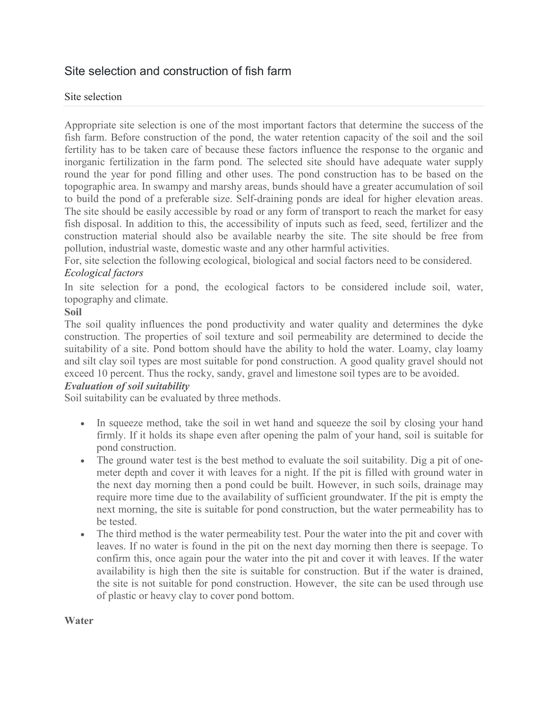# Site selection and construction of fish farm

#### Site selection

Appropriate site selection is one of the most important factors that determine the success of the fish farm. Before construction of the pond, the water retention capacity of the soil and the soil fertility has to be taken care of because these factors influence the response to the organic and inorganic fertilization in the farm pond. The selected site should have adequate water supply round the year for pond filling and other uses. The pond construction has to be based on the topographic area. In swampy and marshy areas, bunds should have a greater accumulation of soil to build the pond of a preferable size. Self-draining ponds are ideal for higher elevation areas. The site should be easily accessible by road or any form of transport to reach the market for easy fish disposal. In addition to this, the accessibility of inputs such as feed, seed, fertilizer and the construction material should also be available nearby the site. The site should be free from pollution, industrial waste, domestic waste and any other harmful activities.

For, site selection the following ecological, biological and social factors need to be considered. *Ecological factors*

In site selection for a pond, the ecological factors to be considered include soil, water, topography and climate.

#### **Soil**

The soil quality influences the pond productivity and water quality and determines the dyke construction. The properties of soil texture and soil permeability are determined to decide the suitability of a site. Pond bottom should have the ability to hold the water. Loamy, clay loamy and silt clay soil types are most suitable for pond construction. A good quality gravel should not exceed 10 percent. Thus the rocky, sandy, gravel and limestone soil types are to be avoided.

#### *Evaluation of soil suitability*

Soil suitability can be evaluated by three methods.

- In squeeze method, take the soil in wet hand and squeeze the soil by closing your hand firmly. If it holds its shape even after opening the palm of your hand, soil is suitable for pond construction.
- The ground water test is the best method to evaluate the soil suitability. Dig a pit of onemeter depth and cover it with leaves for a night. If the pit is filled with ground water in the next day morning then a pond could be built. However, in such soils, drainage may require more time due to the availability of sufficient groundwater. If the pit is empty the next morning, the site is suitable for pond construction, but the water permeability has to be tested.
- The third method is the water permeability test. Pour the water into the pit and cover with leaves. If no water is found in the pit on the next day morning then there is seepage. To confirm this, once again pour the water into the pit and cover it with leaves. If the water availability is high then the site is suitable for construction. But if the water is drained, the site is not suitable for pond construction. However, the site can be used through use of plastic or heavy clay to cover pond bottom.

#### **Water**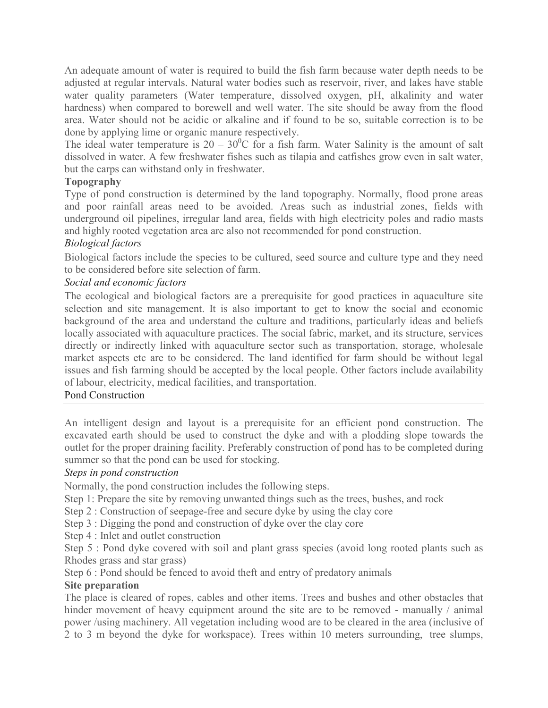An adequate amount of water is required to build the fish farm because water depth needs to be adjusted at regular intervals. Natural water bodies such as reservoir, river, and lakes have stable water quality parameters (Water temperature, dissolved oxygen, pH, alkalinity and water hardness) when compared to borewell and well water. The site should be away from the flood area. Water should not be acidic or alkaline and if found to be so, suitable correction is to be done by applying lime or organic manure respectively.

The ideal water temperature is  $20 - 30^{\circ}$ C for a fish farm. Water Salinity is the amount of salt dissolved in water. A few freshwater fishes such as tilapia and catfishes grow even in salt water, but the carps can withstand only in freshwater.

#### **Topography**

Type of pond construction is determined by the land topography. Normally, flood prone areas and poor rainfall areas need to be avoided. Areas such as industrial zones, fields with underground oil pipelines, irregular land area, fields with high electricity poles and radio masts and highly rooted vegetation area are also not recommended for pond construction.

# *Biological factors*

Biological factors include the species to be cultured, seed source and culture type and they need to be considered before site selection of farm.

# *Social and economic factors*

The ecological and biological factors are a prerequisite for good practices in aquaculture site selection and site management. It is also important to get to know the social and economic background of the area and understand the culture and traditions, particularly ideas and beliefs locally associated with aquaculture practices. The social fabric, market, and its structure, services directly or indirectly linked with aquaculture sector such as transportation, storage, wholesale market aspects etc are to be considered. The land identified for farm should be without legal issues and fish farming should be accepted by the local people. Other factors include availability of labour, electricity, medical facilities, and transportation.

#### Pond Construction

An intelligent design and layout is a prerequisite for an efficient pond construction. The excavated earth should be used to construct the dyke and with a plodding slope towards the outlet for the proper draining facility. Preferably construction of pond has to be completed during summer so that the pond can be used for stocking.

# *Steps in pond construction*

Normally, the pond construction includes the following steps.

Step 1: Prepare the site by removing unwanted things such as the trees, bushes, and rock

Step 2 : Construction of seepage-free and secure dyke by using the clay core

Step 3 : Digging the pond and construction of dyke over the clay core

Step 4 : Inlet and outlet construction

Step 5 : Pond dyke covered with soil and plant grass species (avoid long rooted plants such as Rhodes grass and star grass)

Step 6 : Pond should be fenced to avoid theft and entry of predatory animals

#### **Site preparation**

The place is cleared of ropes, cables and other items. Trees and bushes and other obstacles that hinder movement of heavy equipment around the site are to be removed - manually / animal power /using machinery. All vegetation including wood are to be cleared in the area (inclusive of 2 to 3 m beyond the dyke for workspace). Trees within 10 meters surrounding, tree slumps,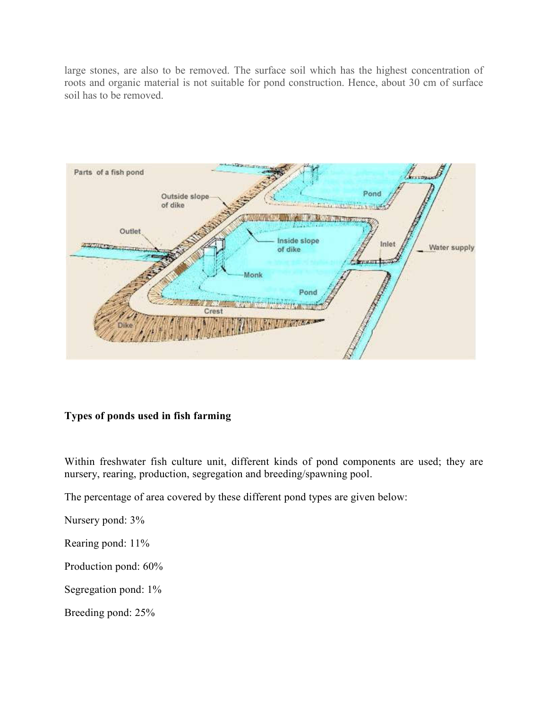large stones, are also to be removed. The surface soil which has the highest concentration of roots and organic material is not suitable for pond construction. Hence, about 30 cm of surface soil has to be removed.



#### **Types of ponds used in fish farming**

Within freshwater fish culture unit, different kinds of pond components are used; they are nursery, rearing, production, segregation and breeding/spawning pool.

The percentage of area covered by these different pond types are given below:

Nursery pond: 3%

Rearing pond: 11%

Production pond: 60%

Segregation pond: 1%

Breeding pond: 25%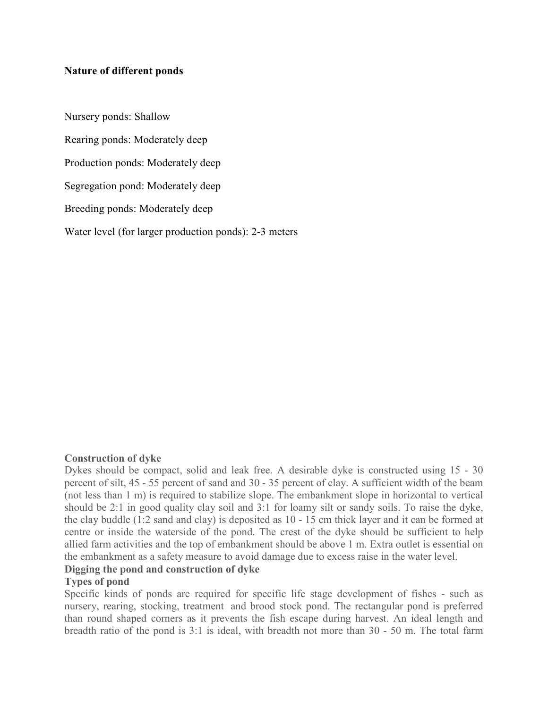#### **Nature of different ponds**

Nursery ponds: Shallow Rearing ponds: Moderately deep Production ponds: Moderately deep Segregation pond: Moderately deep Breeding ponds: Moderately deep Water level (for larger production ponds): 2-3 meters

#### **Construction of dyke**

Dykes should be compact, solid and leak free. A desirable dyke is constructed using 15 - 30 percent of silt, 45 - 55 percent of sand and 30 - 35 percent of clay. A sufficient width of the beam (not less than 1 m) is required to stabilize slope. The embankment slope in horizontal to vertical should be 2:1 in good quality clay soil and 3:1 for loamy silt or sandy soils. To raise the dyke, the clay buddle (1:2 sand and clay) is deposited as 10 - 15 cm thick layer and it can be formed at centre or inside the waterside of the pond. The crest of the dyke should be sufficient to help allied farm activities and the top of embankment should be above 1 m. Extra outlet is essential on the embankment as a safety measure to avoid damage due to excess raise in the water level.

#### **Digging the pond and construction of dyke**

#### **Types of pond**

Specific kinds of ponds are required for specific life stage development of fishes - such as nursery, rearing, stocking, treatment and brood stock pond. The rectangular pond is preferred than round shaped corners as it prevents the fish escape during harvest. An ideal length and breadth ratio of the pond is 3:1 is ideal, with breadth not more than 30 - 50 m. The total farm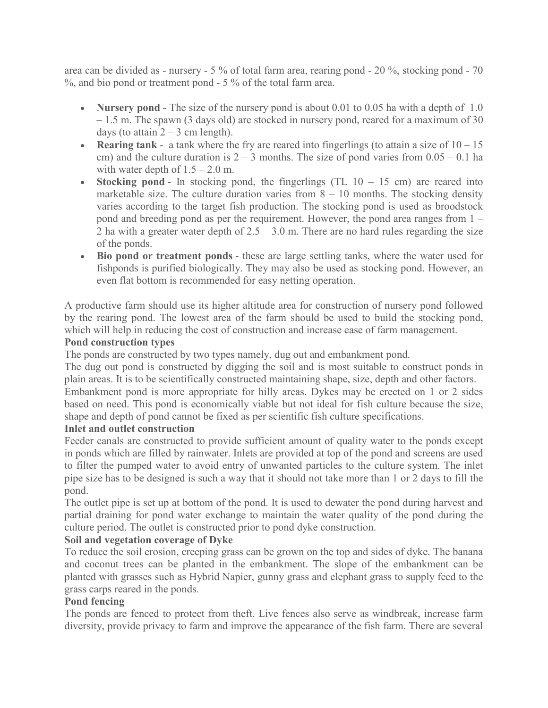area can be divided as - nursery - 5 % of total farm area, rearing pond - 20 %, stocking pond - 70 %, and bio pond or treatment pond - 5 % of the total farm area.

- **Nursery pond** The size of the nursery pond is about 0.01 to 0.05 ha with a depth of 1.0 – 1.5 m. The spawn (3 days old) are stocked in nursery pond, reared for a maximum of 30 days (to attain  $2 - 3$  cm length).
- **Rearing tank** a tank where the fry are reared into fingerlings (to attain a size of  $10 15$ ) cm) and the culture duration is  $2 - 3$  months. The size of pond varies from  $0.05 - 0.1$  ha with water depth of  $1.5 - 2.0$  m.
- **Stocking pond** In stocking pond, the fingerlings  $(TL 10 15 cm)$  are reared into marketable size. The culture duration varies from  $8 - 10$  months. The stocking density varies according to the target fish production. The stocking pond is used as broodstock pond and breeding pond as per the requirement. However, the pond area ranges from 1 – 2 ha with a greater water depth of  $2.5 - 3.0$  m. There are no hard rules regarding the size of the ponds.
- **Bio pond or treatment ponds** these are large settling tanks, where the water used for fishponds is purified biologically. They may also be used as stocking pond. However, an even flat bottom is recommended for easy netting operation.

A productive farm should use its higher altitude area for construction of nursery pond followed by the rearing pond. The lowest area of the farm should be used to build the stocking pond, which will help in reducing the cost of construction and increase ease of farm management.

# **Pond construction types**

The ponds are constructed by two types namely, dug out and embankment pond.

The dug out pond is constructed by digging the soil and is most suitable to construct ponds in plain areas. It is to be scientifically constructed maintaining shape, size, depth and other factors.

Embankment pond is more appropriate for hilly areas. Dykes may be erected on 1 or 2 sides based on need. This pond is economically viable but not ideal for fish culture because the size, shape and depth of pond cannot be fixed as per scientific fish culture specifications.

#### **Inlet and outlet construction**

Feeder canals are constructed to provide sufficient amount of quality water to the ponds except in ponds which are filled by rainwater. Inlets are provided at top of the pond and screens are used to filter the pumped water to avoid entry of unwanted particles to the culture system. The inlet pipe size has to be designed is such a way that it should not take more than 1 or 2 days to fill the pond.

The outlet pipe is set up at bottom of the pond. It is used to dewater the pond during harvest and partial draining for pond water exchange to maintain the water quality of the pond during the culture period. The outlet is constructed prior to pond dyke construction.

#### **Soil and vegetation coverage of Dyke**

To reduce the soil erosion, creeping grass can be grown on the top and sides of dyke. The banana and coconut trees can be planted in the embankment. The slope of the embankment can be planted with grasses such as Hybrid Napier, gunny grass and elephant grass to supply feed to the grass carps reared in the ponds.

#### **Pond fencing**

The ponds are fenced to protect from theft. Live fences also serve as windbreak, increase farm diversity, provide privacy to farm and improve the appearance of the fish farm. There are several